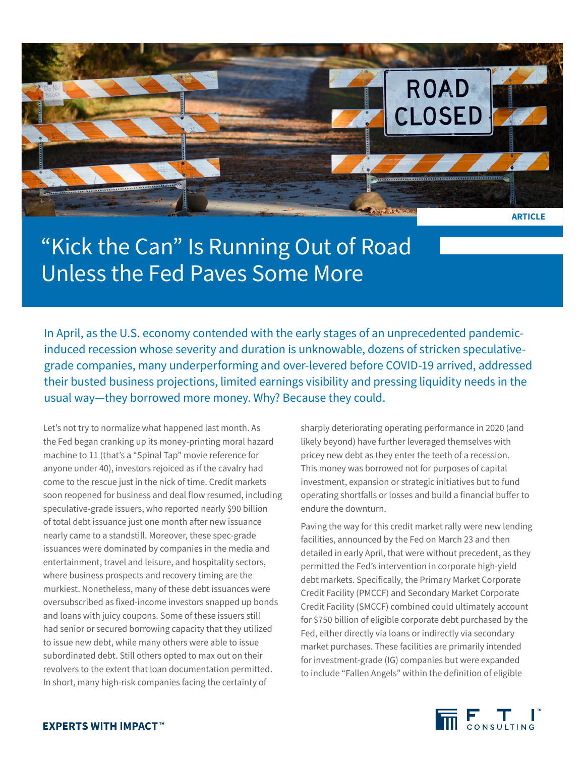

## "Kick the Can" Is Running Out of Road Unless the Fed Paves Some More

In April, as the U.S. economy contended with the early stages of an unprecedented pandemicinduced recession whose severity and duration is unknowable, dozens of stricken speculativegrade companies, many underperforming and over-levered before COVID-19 arrived, addressed their busted business projections, limited earnings visibility and pressing liquidity needs in the usual way—they borrowed more money. Why? Because they could.

Let's not try to normalize what happened last month. As the Fed began cranking up its money-printing moral hazard machine to 11 (that's a "Spinal Tap" movie reference for anyone under 40), investors rejoiced as if the cavalry had come to the rescue just in the nick of time. Credit markets soon reopened for business and deal flow resumed, including speculative-grade issuers, who reported nearly \$90 billion of total debt issuance just one month after new issuance nearly came to a standstill. Moreover, these spec-grade issuances were dominated by companies in the media and entertainment, travel and leisure, and hospitality sectors, where business prospects and recovery timing are the murkiest. Nonetheless, many of these debt issuances were oversubscribed as fixed-income investors snapped up bonds and loans with juicy coupons. Some of these issuers still had senior or secured borrowing capacity that they utilized to issue new debt, while many others were able to issue subordinated debt. Still others opted to max out on their revolvers to the extent that loan documentation permitted. In short, many high-risk companies facing the certainty of

sharply deteriorating operating performance in 2020 (and likely beyond) have further leveraged themselves with pricey new debt as they enter the teeth of a recession. This money was borrowed not for purposes of capital investment, expansion or strategic initiatives but to fund operating shortfalls or losses and build a financial buffer to endure the downturn.

Paving the way for this credit market rally were new lending facilities, announced by the Fed on March 23 and then detailed in early April, that were without precedent, as they permitted the Fed's intervention in corporate high-yield debt markets. Specifically, the Primary Market Corporate Credit Facility (PMCCF) and Secondary Market Corporate Credit Facility (SMCCF) combined could ultimately account for \$750 billion of eligible corporate debt purchased by the Fed, either directly via loans or indirectly via secondary market purchases. These facilities are primarily intended for investment-grade (IG) companies but were expanded to include "Fallen Angels" within the definition of eligible

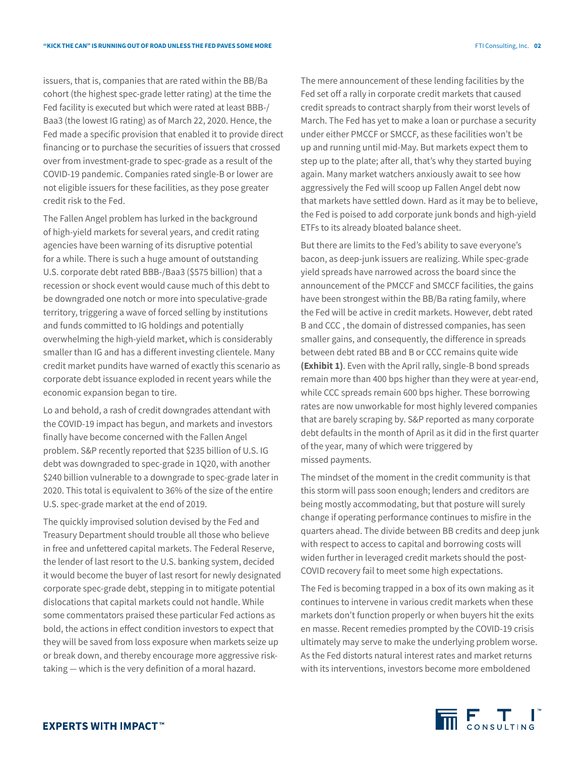issuers, that is, companies that are rated within the BB/Ba cohort (the highest spec-grade letter rating) at the time the Fed facility is executed but which were rated at least BBB-/ Baa3 (the lowest IG rating) as of March 22, 2020. Hence, the Fed made a specific provision that enabled it to provide direct financing or to purchase the securities of issuers that crossed over from investment-grade to spec-grade as a result of the COVID-19 pandemic. Companies rated single-B or lower are not eligible issuers for these facilities, as they pose greater credit risk to the Fed.

The Fallen Angel problem has lurked in the background of high-yield markets for several years, and credit rating agencies have been warning of its disruptive potential for a while. There is such a huge amount of outstanding U.S. corporate debt rated BBB-/Baa3 (\$575 billion) that a recession or shock event would cause much of this debt to be downgraded one notch or more into speculative-grade territory, triggering a wave of forced selling by institutions and funds committed to IG holdings and potentially overwhelming the high-yield market, which is considerably smaller than IG and has a different investing clientele. Many credit market pundits have warned of exactly this scenario as corporate debt issuance exploded in recent years while the economic expansion began to tire.

Lo and behold, a rash of credit downgrades attendant with the COVID-19 impact has begun, and markets and investors finally have become concerned with the Fallen Angel problem. S&P recently reported that \$235 billion of U.S. IG debt was downgraded to spec-grade in 1Q20, with another \$240 billion vulnerable to a downgrade to spec-grade later in 2020. This total is equivalent to 36% of the size of the entire U.S. spec-grade market at the end of 2019.

The quickly improvised solution devised by the Fed and Treasury Department should trouble all those who believe in free and unfettered capital markets. The Federal Reserve, the lender of last resort to the U.S. banking system, decided it would become the buyer of last resort for newly designated corporate spec-grade debt, stepping in to mitigate potential dislocations that capital markets could not handle. While some commentators praised these particular Fed actions as bold, the actions in effect condition investors to expect that they will be saved from loss exposure when markets seize up or break down, and thereby encourage more aggressive risktaking — which is the very definition of a moral hazard.

The mere announcement of these lending facilities by the Fed set off a rally in corporate credit markets that caused credit spreads to contract sharply from their worst levels of March. The Fed has yet to make a loan or purchase a security under either PMCCF or SMCCF, as these facilities won't be up and running until mid-May. But markets expect them to step up to the plate; after all, that's why they started buying again. Many market watchers anxiously await to see how aggressively the Fed will scoop up Fallen Angel debt now that markets have settled down. Hard as it may be to believe, the Fed is poised to add corporate junk bonds and high-yield ETFs to its already bloated balance sheet.

But there are limits to the Fed's ability to save everyone's bacon, as deep-junk issuers are realizing. While spec-grade yield spreads have narrowed across the board since the announcement of the PMCCF and SMCCF facilities, the gains have been strongest within the BB/Ba rating family, where the Fed will be active in credit markets. However, debt rated B and CCC , the domain of distressed companies, has seen smaller gains, and consequently, the difference in spreads between debt rated BB and B or CCC remains quite wide **(Exhibit 1)**. Even with the April rally, single-B bond spreads remain more than 400 bps higher than they were at year-end, while CCC spreads remain 600 bps higher. These borrowing rates are now unworkable for most highly levered companies that are barely scraping by. S&P reported as many corporate debt defaults in the month of April as it did in the first quarter of the year, many of which were triggered by missed payments.

The mindset of the moment in the credit community is that this storm will pass soon enough; lenders and creditors are being mostly accommodating, but that posture will surely change if operating performance continues to misfire in the quarters ahead. The divide between BB credits and deep junk with respect to access to capital and borrowing costs will widen further in leveraged credit markets should the post-COVID recovery fail to meet some high expectations.

The Fed is becoming trapped in a box of its own making as it continues to intervene in various credit markets when these markets don't function properly or when buyers hit the exits en masse. Recent remedies prompted by the COVID-19 crisis ultimately may serve to make the underlying problem worse. As the Fed distorts natural interest rates and market returns with its interventions, investors become more emboldened